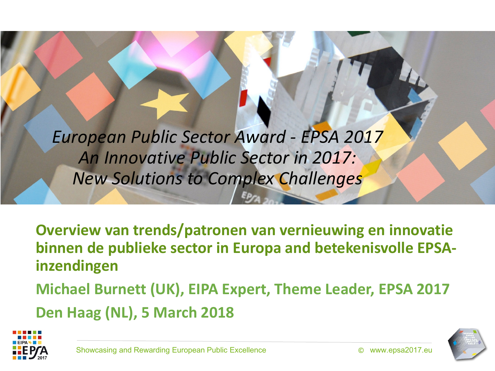*European Public Sector Award - EPSA 2017 An Innovative Public Sector in 2017: New Solutions to Complex Challenges*

**Overview van trends/patronen van vernieuwing en innovatie binnen de publieke sector in Europa and betekenisvolle EPSAinzendingen** 

**Michael Burnett (UK), EIPA Expert, Theme Leader, EPSA 2017 Den Haag (NL), 5 March 2018**



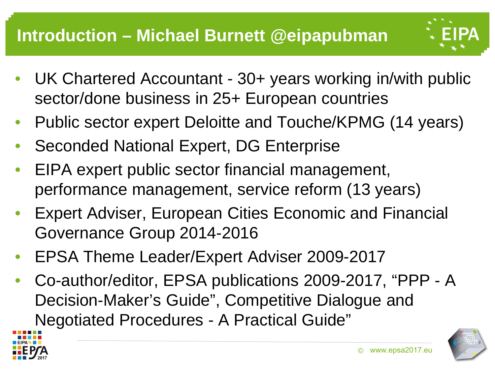

- UK Chartered Accountant 30+ years working in/with public sector/done business in 25+ European countries
- Public sector expert Deloitte and Touche/KPMG (14 years)
- Seconded National Expert, DG Enterprise
- EIPA expert public sector financial management, performance management, service reform (13 years)
- Expert Adviser, European Cities Economic and Financial Governance Group 2014-2016
- EPSA Theme Leader/Expert Adviser 2009-2017
- Co-author/editor, EPSA publications 2009-2017, "PPP A Decision-Maker's Guide", Competitive Dialogue and Negotiated Procedures - A Practical Guide"



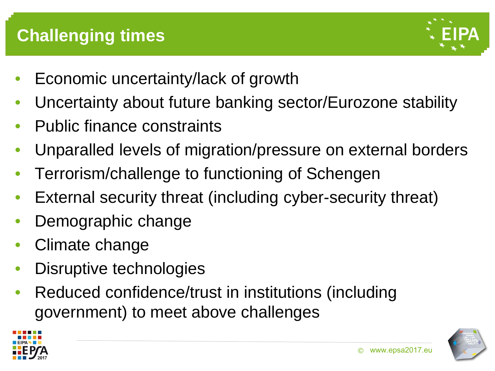

- Economic uncertainty/lack of growth
- Uncertainty about future banking sector/Eurozone stability
- Public finance constraints
- Unparalled levels of migration/pressure on external borders
- Terrorism/challenge to functioning of Schengen
- External security threat (including cyber-security threat)
- Demographic change
- Climate change
- Disruptive technologies
- Reduced confidence/trust in institutions (including government) to meet above challenges



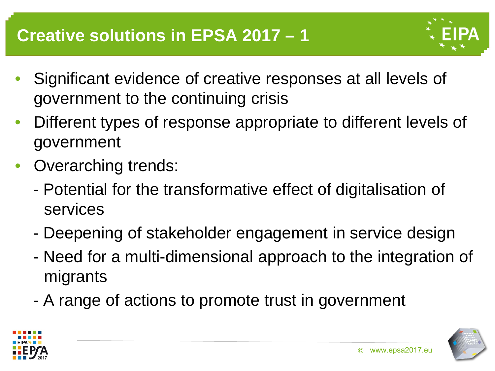

- Significant evidence of creative responses at all levels of government to the continuing crisis
- Different types of response appropriate to different levels of government
- Overarching trends:
	- Potential for the transformative effect of digitalisation of services
	- Deepening of stakeholder engagement in service design
	- Need for a multi-dimensional approach to the integration of migrants
	- A range of actions to promote trust in government



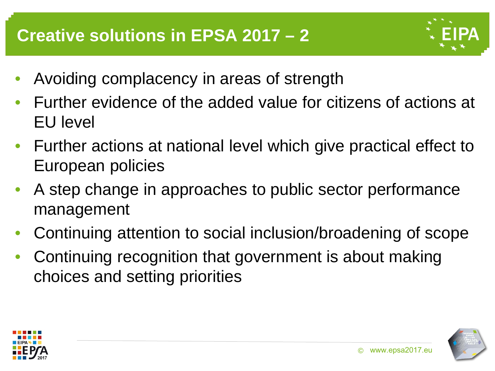

- Avoiding complacency in areas of strength
- Further evidence of the added value for citizens of actions at EU level
- Further actions at national level which give practical effect to European policies
- A step change in approaches to public sector performance management
- Continuing attention to social inclusion/broadening of scope
- Continuing recognition that government is about making choices and setting priorities



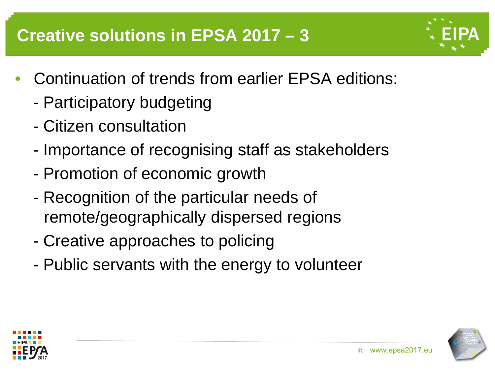#### **Creative solutions in EPSA 2017 – 3**

- 
- Continuation of trends from earlier EPSA editions:
	- Participatory budgeting
	- Citizen consultation
	- Importance of recognising staff as stakeholders
	- Promotion of economic growth
	- Recognition of the particular needs of remote/geographically dispersed regions
	- Creative approaches to policing
	- Public servants with the energy to volunteer



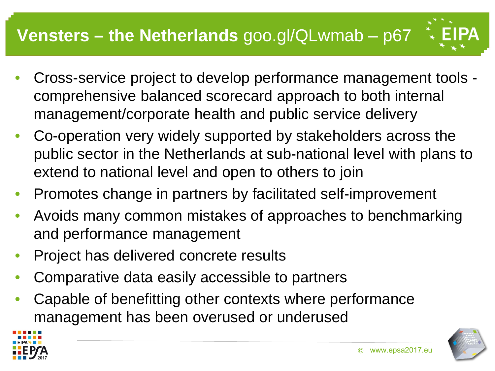# **Vensters – the Netherlands** goo.gl/QLwmab – p67

- Cross-service project to develop performance management tools comprehensive balanced scorecard approach to both internal management/corporate health and public service delivery
- Co-operation very widely supported by stakeholders across the public sector in the Netherlands at sub-national level with plans to extend to national level and open to others to join
- Promotes change in partners by facilitated self-improvement
- Avoids many common mistakes of approaches to benchmarking and performance management
- Project has delivered concrete results
- Comparative data easily accessible to partners
- Capable of benefitting other contexts where performance management has been overused or underused



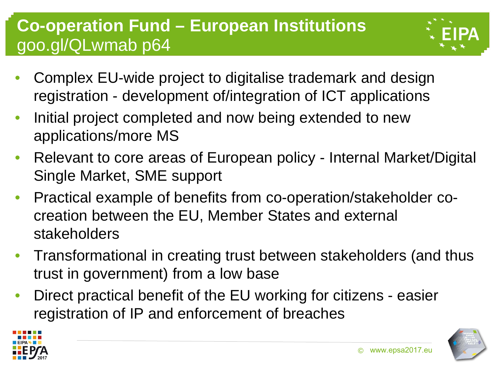## **Co-operation Fund – European Institutions**  goo.gl/QLwmab p64

- 
- Complex EU-wide project to digitalise trademark and design registration - development of/integration of ICT applications
- Initial project completed and now being extended to new applications/more MS
- Relevant to core areas of European policy Internal Market/Digital Single Market, SME support
- Practical example of benefits from co-operation/stakeholder cocreation between the EU, Member States and external stakeholders
- Transformational in creating trust between stakeholders (and thus trust in government) from a low base
- Direct practical benefit of the EU working for citizens easier registration of IP and enforcement of breaches

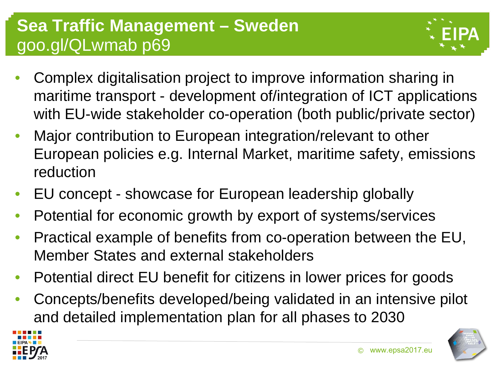#### **Sea Traffic Management – Sweden**  goo.gl/QLwmab p69



- Complex digitalisation project to improve information sharing in maritime transport - development of/integration of ICT applications with EU-wide stakeholder co-operation (both public/private sector)
- Major contribution to European integration/relevant to other European policies e.g. Internal Market, maritime safety, emissions reduction
- EU concept showcase for European leadership globally
- Potential for economic growth by export of systems/services
- Practical example of benefits from co-operation between the EU, Member States and external stakeholders
- Potential direct EU benefit for citizens in lower prices for goods
- Concepts/benefits developed/being validated in an intensive pilot and detailed implementation plan for all phases to 2030

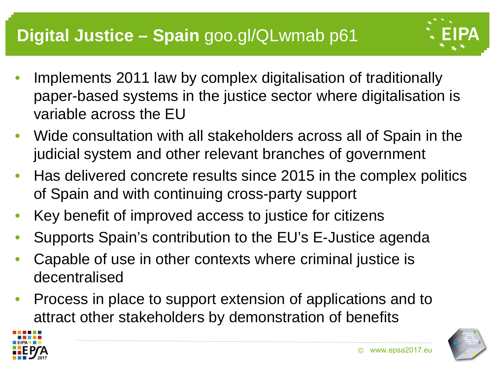

- Wide consultation with all stakeholders across all of Spain in the judicial system and other relevant branches of government
- Has delivered concrete results since 2015 in the complex politics of Spain and with continuing cross-party support
- Key benefit of improved access to justice for citizens
- Supports Spain's contribution to the EU's E-Justice agenda
- Capable of use in other contexts where criminal justice is decentralised
- Process in place to support extension of applications and to attract other stakeholders by demonstration of benefits



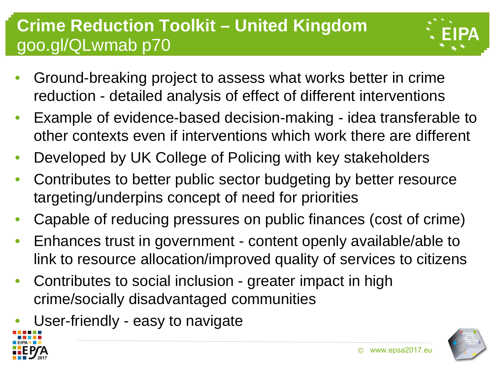## **Crime Reduction Toolkit – United Kingdom**  goo.gl/QLwmab p70



- Ground-breaking project to assess what works better in crime reduction - detailed analysis of effect of different interventions
- Example of evidence-based decision-making idea transferable to other contexts even if interventions which work there are different
- Developed by UK College of Policing with key stakeholders
- Contributes to better public sector budgeting by better resource targeting/underpins concept of need for priorities
- Capable of reducing pressures on public finances (cost of crime)
- Enhances trust in government content openly available/able to link to resource allocation/improved quality of services to citizens
- Contributes to social inclusion greater impact in high crime/socially disadvantaged communities
- User-friendly easy to navigate



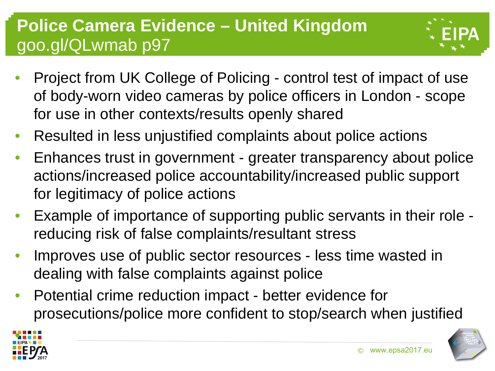## **Police Camera Evidence – United Kingdom**  goo.gl/QLwmab p97



- Project from UK College of Policing control test of impact of use of body-worn video cameras by police officers in London - scope for use in other contexts/results openly shared
- Resulted in less unjustified complaints about police actions
- Enhances trust in government greater transparency about police actions/increased police accountability/increased public support for legitimacy of police actions
- Example of importance of supporting public servants in their role reducing risk of false complaints/resultant stress
- Improves use of public sector resources less time wasted in dealing with false complaints against police
- Potential crime reduction impact better evidence for prosecutions/police more confident to stop/search when justified

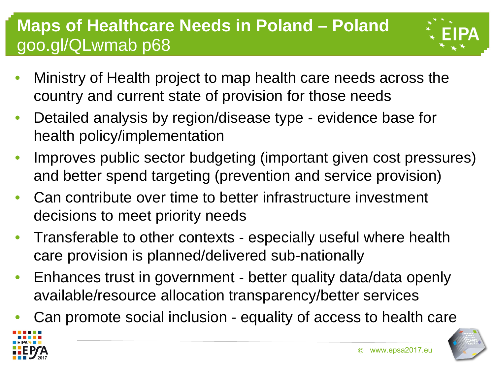## **Maps of Healthcare Needs in Poland – Poland**  goo.gl/QLwmab p68



- Ministry of Health project to map health care needs across the country and current state of provision for those needs
- Detailed analysis by region/disease type evidence base for health policy/implementation
- Improves public sector budgeting (important given cost pressures) and better spend targeting (prevention and service provision)
- Can contribute over time to better infrastructure investment decisions to meet priority needs
- Transferable to other contexts especially useful where health care provision is planned/delivered sub-nationally
- Enhances trust in government better quality data/data openly available/resource allocation transparency/better services
- Can promote social inclusion equality of access to health care

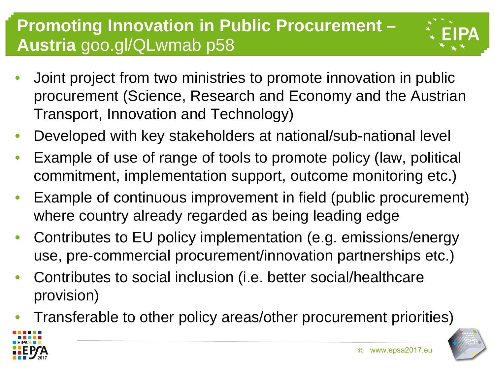#### **Promoting Innovation in Public Procurement – Austria** goo.gl/QLwmab p58



- Joint project from two ministries to promote innovation in public procurement (Science, Research and Economy and the Austrian Transport, Innovation and Technology)
- Developed with key stakeholders at national/sub-national level
- Example of use of range of tools to promote policy (law, political commitment, implementation support, outcome monitoring etc.)
- Example of continuous improvement in field (public procurement) where country already regarded as being leading edge
- Contributes to EU policy implementation (e.g. emissions/energy use, pre-commercial procurement/innovation partnerships etc.)
- Contributes to social inclusion (i.e. better social/healthcare provision)
- Transferable to other policy areas/other procurement priorities)



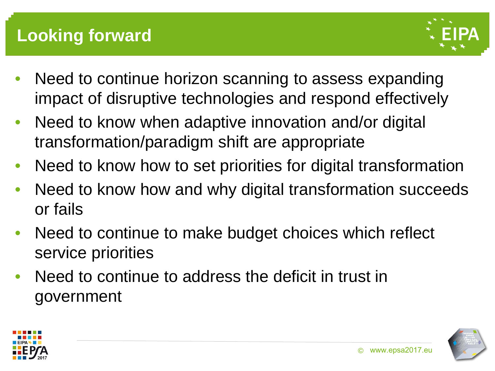

- Need to continue horizon scanning to assess expanding impact of disruptive technologies and respond effectively
- Need to know when adaptive innovation and/or digital transformation/paradigm shift are appropriate
- Need to know how to set priorities for digital transformation
- Need to know how and why digital transformation succeeds or fails
- Need to continue to make budget choices which reflect service priorities
- Need to continue to address the deficit in trust in government



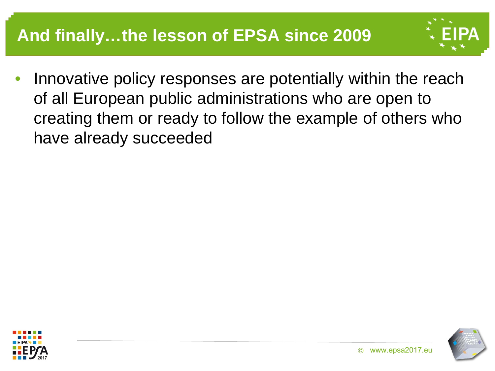

• Innovative policy responses are potentially within the reach of all European public administrations who are open to creating them or ready to follow the example of others who have already succeeded